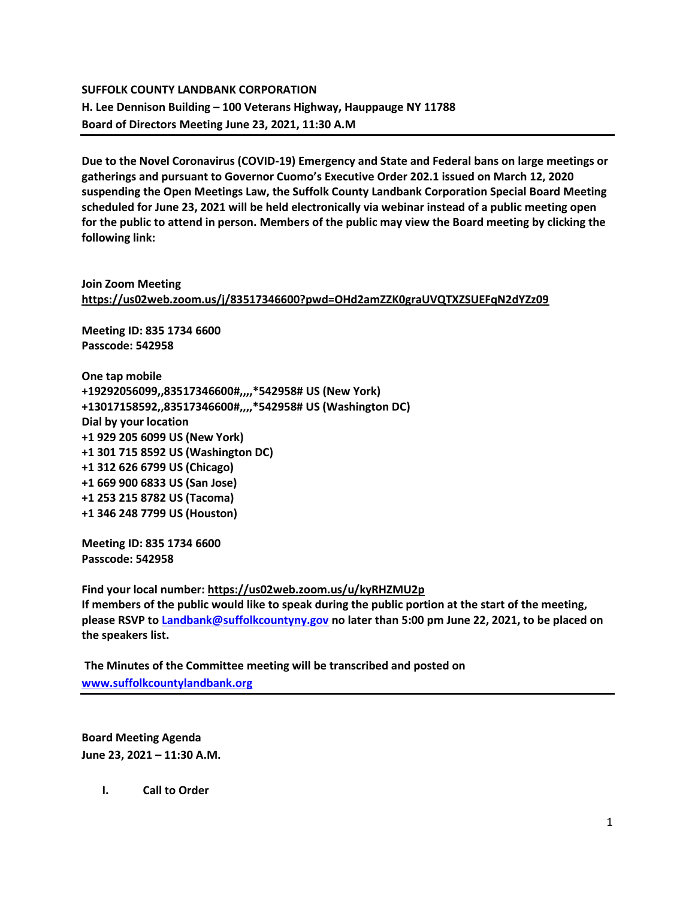# **SUFFOLK COUNTY LANDBANK CORPORATION H. Lee Dennison Building – 100 Veterans Highway, Hauppauge NY 11788 Board of Directors Meeting June 23, 2021, 11:30 A.M**

**Due to the Novel Coronavirus (COVID-19) Emergency and State and Federal bans on large meetings or gatherings and pursuant to Governor Cuomo's Executive Order 202.1 issued on March 12, 2020 suspending the Open Meetings Law, the Suffolk County Landbank Corporation Special Board Meeting scheduled for June 23, 2021 will be held electronically via webinar instead of a public meeting open for the public to attend in person. Members of the public may view the Board meeting by clicking the following link:**

## **Join Zoom Meeting <https://us02web.zoom.us/j/83517346600?pwd=OHd2amZZK0graUVQTXZSUEFqN2dYZz09>**

**Meeting ID: 835 1734 6600 Passcode: 542958**

**One tap mobile +19292056099,,83517346600#,,,,\*542958# US (New York) +13017158592,,83517346600#,,,,\*542958# US (Washington DC) Dial by your location +1 929 205 6099 US (New York) +1 301 715 8592 US (Washington DC) +1 312 626 6799 US (Chicago) +1 669 900 6833 US (San Jose) +1 253 215 8782 US (Tacoma) +1 346 248 7799 US (Houston)**

**Meeting ID: 835 1734 6600 Passcode: 542958**

**Find your local number:<https://us02web.zoom.us/u/kyRHZMU2p> If members of the public would like to speak during the public portion at the start of the meeting, please RSVP to [Landbank@suffolkcountyny.gov](mailto:Landbank@suffolkcountyny.gov) no later than 5:00 pm June 22, 2021, to be placed on the speakers list.** 

**The Minutes of the Committee meeting will be transcribed and posted on [www.suffolkcountylandbank.org](http://www.suffolkcountylandbank.org/)**

**Board Meeting Agenda June 23, 2021 – 11:30 A.M.**

**I. Call to Order**